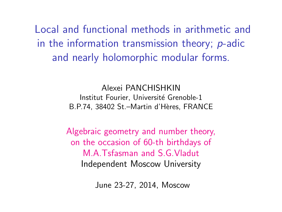Local and functional methods in arithmetic and in the information transmission theory; p-adic and nearly holomorphic modular forms.

> Alexei PANCHISHKIN Institut Fourier, Université Grenoble-1 B.P.74, 38402 St.–Martin d'Hères, FRANCE

Algebraic geometry and number theory, on the occasion of 60-th birthdays of M.A.Tsfasman and S.G.Vladut Independent Moscow University

June 23-27, 2014, Moscow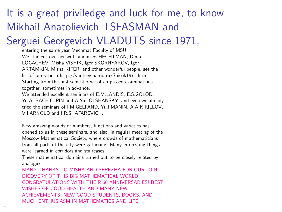# It is a great priviledge and luck for me, to know Mikhail Anatolievich TSFASMAN and

# Serguei Georgevich VLADUTS since 1971,

entering the same year Mechmat Faculty of MSU. We studied together with Vadim SCHECHTMAN, Dima LOGACHEV, Misha VISHIK, Igor SKORNYAKOV, Igor ARTAMKIN, Misha KIFER, and other wonderful people, see the list of our year in http://vanteev.narod.ru/Spisok1971.htm. Starting from the first semester we often passed examinations together, sometimes in advance.

We attended excellent seminars of E.M.LANDIS, E.S.GOLOD, Yu.A. BACHTURIN and A.Yu. OLSHANSKY, and even we already tried the seminars of I.M.GELFAND, Yu.I.MANIN, A.A.KIRILLOV, V.I.ARNOLD and I.R.SHAFAREVICH.

New amazing worlds of numbers, functions and varieties has opened to us in these seminars, and also, in regular meeting of the Moscow Mathematical Society, where crowds of mathematicians from all parts of the city were gathering. Many interesting things were learned in corridors and staircases.

These mathematical domains turned out to be closely related by analogies.

MANY THANKS TO MISHA AND SEREZHA FOR OUR JOINT DICOVERY OF THIS BIG MATHEMATICAL WORLD! CONGRATULATIONS WITH THEIR 60 ANNIVERSARIES! BEST WISHES OF GOOD HEALTH AND MANY NEW ACHIEVEMENTS! NEW GOOD STUDENTS, BOOKS, AND MUCH ENTHUSIASM IN MATHEMATICS AND LIFE!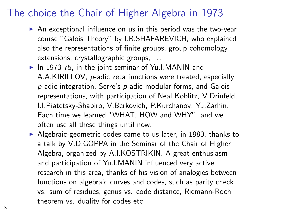#### The choice the Chair of Higher Algebra in 1973

- $\triangleright$  An exceptional influence on us in this period was the two-year course "Galois Theory" by I.R.SHAFAREVICH, who explained also the representations of finite groups, group cohomology, extensions, crystallographic groups, . . .
- $\blacktriangleright$  In 1973-75, in the joint seminar of Yu.I.MANIN and A.A.KIRILLOV, p-adic zeta functions were treated, especially p-adic integration, Serre's p-adic modular forms, and Galois representations, with participation of Neal Koblitz, V.Drinfeld, I.I.Piatetsky-Shapiro, V.Berkovich, P.Kurchanov, Yu.Zarhin. Each time we learned "WHAT, HOW and WHY", and we often use all these things until now.
- $\blacktriangleright$  Algebraic-geometric codes came to us later, in 1980, thanks to a talk by V.D.GOPPA in the Seminar of the Chair of Higher Algebra, organized by A.I.KOSTRIKIN. A great enthusiasm and participation of Yu.I.MANIN influenced very active research in this area, thanks of his vision of analogies between functions on algebraic curves and codes, such as parity check vs. sum of residues, genus vs. code distance, Riemann-Roch theorem vs. duality for codes etc.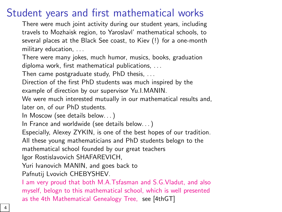# Student years and first mathematical works

There were much joint activity during our student years, including travels to Mozhaisk region, to Yaroslavl' mathematical schools, to several places at the Black See coast, to Kiev (!) for a one-month military education, . . .

There were many jokes, much humor, musics, books, graduation diploma work, first mathematical publications, ...

Then came postgraduate study, PhD thesis, . . .

Direction of the first PhD students was much inspired by the example of direction by our supervisor Yu.I.MANIN.

We were much interested mutually in our mathematical results and, later on, of our PhD students.

In Moscow (see details below. . . )

In France and worldwide (see details below. . . )

Especially, Alexey ZYKIN, is one of the best hopes of our tradition.

All these young mathematicians and PhD students belogn to the

mathematical school founded by our great teachers

Igor Rostislavovich SHAFAREVICH,

Yuri Ivanovich MANIN, and goes back to

Pafnutij Lvovich CHEBYSHEV.

I am very proud that both M.A.Tsfasman and S.G.Vladut, and also myself, belogn to this mathematical school, which is well pr[esented](#page-43-0) as the 4th Mathematical Genealogy Tree, see [4thGT]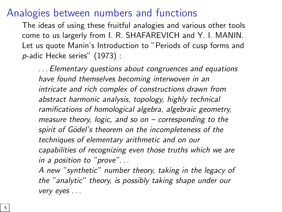#### Analogies between numbers and functions

The ideas of using these fruitful analogies and various other tools come to us largerly from I. R. SHAFAREVICH and Y. I. MANIN. Let us quote Manin's Introduction to "Periods of cusp forms and p-adic Hecke series" (1973) :

. . . Elementary questions about congruences and equations have found themselves becoming interwoven in an intricate and rich complex of constructions drawn from abstract harmonic analysis, topology, highly technical ramifications of homological algebra, algebraic geometry, measure theory, logic, and so on  $-$  corresponding to the spirit of Gödel's theorem on the incompleteness of the techniques of elementary arithmetic and on our capabilities of recognizing even those truths which we are in a position to "prove". . .

A new "synthetic" number theory, taking in the legacy of the "analytic" theory, is possibly taking shape under our very eyes . . .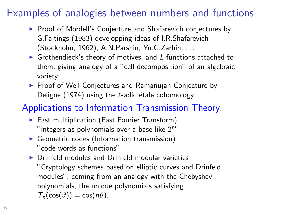# Examples of analogies between numbers and functions

- ▶ Proof of Mordell's Conjecture and Shafarevich conjectures by G.Faltings (1983) developping ideas of I.R.Shafarevich (Stockholm, 1962), A.N.Parshin, Yu.G.Zarhin, . . .
- $\triangleright$  Grothendieck's theory of motives, and L-functions attached to them, giving analogy of a "cell decomposition" of an algebraic variety
- $\blacktriangleright$  Proof of Weil Conjectures and Ramanujan Conjecture by Deligne (1974) using the  $\ell$ -adic étale cohomology

#### Applications to Information Transmission Theory.

- $\blacktriangleright$  Fast multiplication (Fast Fourier Transform) " integers as polynomials over a base like  $2<sup>n</sup>$ "
- $\triangleright$  Geometric codes (Information transmission) "code words as functions"
- $\triangleright$  Drinfeld modules and Drinfeld modular varieties "Cryptology schemes based on elliptic curves and Drinfeld modules", coming from an analogy with the Chebyshev polynomials, the unique polynomials satisfying  $T_n(\cos(\vartheta)) = \cos(n\vartheta)$ .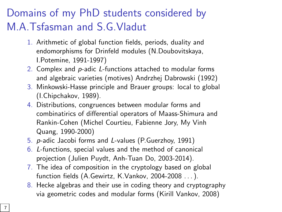# Domains of my PhD students considered by M.A.Tsfasman and S.G.Vladut

- 1. Arithmetic of global function fields, periods, duality and endomorphisms for Drinfeld modules (N.Doubovitskaya, I.Potemine, 1991-1997)
- 2. Complex and p-adic L-functions attached to modular forms and algebraic varieties (motives) Andrzhej Dabrowski (1992)
- 3. Minkowski-Hasse principle and Brauer groups: local to global (I.Chipchakov, 1989).
- 4. Distributions, congruences between modular forms and combinatirics of differential operators of Maass-Shimura and Rankin-Cohen (Michel Courtieu, Fabienne Jory, My Vinh Quang, 1990-2000)
- 5. p-adic Jacobi forms and L-values (P.Guerzhoy, 1991)
- 6. L-functions, special values and the method of canonical projection (Julien Puydt, Anh-Tuan Do, 2003-2014).
- 7. The idea of composition in the cryptology based on global function fields (A.Gewirtz, K.Vankov, 2004-2008 . . . ).
- 8. Hecke algebras and their use in coding theory and cryptography via geometric codes and modular forms (Kirill Vankov, 2008)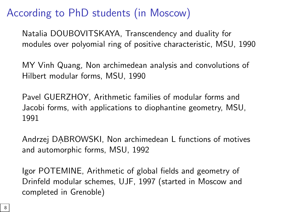# According to PhD students (in Moscow)

Natalia DOUBOVITSKAYA, Transcendency and duality for modules over polyomial ring of positive characteristic, MSU, 1990

MY Vinh Quang, Non archimedean analysis and convolutions of Hilbert modular forms, MSU, 1990

Pavel GUERZHOY, Arithmetic families of modular forms and Jacobi forms, with applications to diophantine geometry, MSU, 1991

Andrzej DABROWSKI, Non archimedean L functions of motives and automorphic forms, MSU, 1992

Igor POTEMINE, Arithmetic of global fields and geometry of Drinfeld modular schemes, UJF, 1997 (started in Moscow and completed in Grenoble)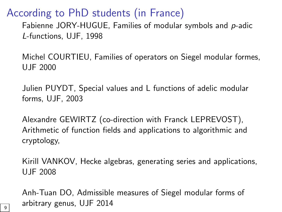According to PhD students (in France)

Fabienne JORY-HUGUE, Families of modular symbols and p-adic L-functions, UJF, 1998

Michel COURTIEU, Families of operators on Siegel modular formes, UJF 2000

Julien PUYDT, Special values and L functions of adelic modular forms, UJF, 2003

Alexandre GEWIRTZ (co-direction with Franck LEPREVOST), Arithmetic of function fields and applications to algorithmic and cryptology,

Kirill VANKOV, Hecke algebras, generating series and applications, UJF 2008

Anh-Tuan DO, Admissible measures of Siegel modular forms of arbitrary genus, UJF 2014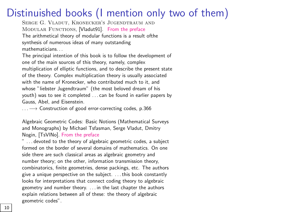# Distinuished books (I mention only two of them)

Serge G. Vladut, Kronecker's Jugendtraum and MODULAR FUNCTIONS, [Vladut91]. From the preface The arithmetical theory of modular functions is a result ofthe synthesis of numerous ideas of many outstanding mathematicians. . .

The principal intention of this book is to follow the development of one of the main sources of this theory, namely, complex multiplication of elliptic functions, and to describe the present state of the theory. Complex multiplication theory is usually associated with the name of Kronecker, who contributed much to it, and whose "liebs[ter Jugendtra](#page-43-1)um" (the most beloved dream of his youth) was to see it completed . . . can be found in earlier papers by Gauss, Abel, and Eisenstein.

 $\dots \longrightarrow$  Construction of good error-correcting codes, p.366

Algebraic Geometric Codes: Basic Notions (Mathematical Surveys and Monographs) by Michael Tsfasman, Serge Vladut, Dmitry Nogin, [TsVlNo]. From the preface

... devoted to the theory of algebraic geometric codes, a subject formed on the border of several domains of mathematics. On one side there are such classical areas as algebraic geometry and number theory; on the other, information transmission theory, combinatorics, finite geometries, dense packings, etc. The authors give a unique perspective on the subject. . . . this book constantly looks for interpretations that connect coding theory to algebraic geometry and number theory. . . . in the last chapter the authors explain relations between all of these: the theory of algebraic geometric codes".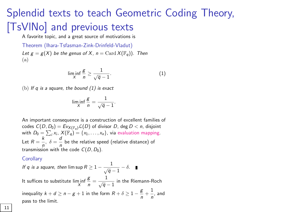# Splendid texts to teach Geo[m](#page-10-0)etric Coding Theory, [\[TsVlNo\]](#page-43-1) and previous texts

A favorite topic, and a great source of motivations is

Theorem (Ihara-Tsfasman-Zink-Drinfeld-Vladut) Let  $g = g(X)$  be the genus of X,  $n = \text{Card } X(\mathbb{F}_q)$ . Then (a)

<span id="page-10-0"></span>
$$
\liminf_{X} \frac{g}{n} \ge \frac{1}{\sqrt{q} - 1}.
$$
 (1)

(b) If q is a square, the bound  $(1)$  is exact

$$
\liminf_{X} \frac{g}{n} = \frac{1}{\sqrt{q}-1}.
$$

An important consequence is a construction of excellent families of codes  $C(D, D_0) = Ev_{X(\mathbb{F}_q)} \mathcal{L}(D)$  of divisor D, deg  $D < n$ , disjoint with  $D_0 = \sum_i x_i$ ,  $X(\mathbb{F}_q) = \{x_1, \ldots, x_n\}$ , via evaluation mapping. Let  $R = \frac{k}{n}$ ,  $\delta = \frac{d}{n}$  be the relative speed (relative distance) of transmission with the code  $C(D, D_0)$ .

**Corollarv** 

If q is a square, then  $\limsup R \geq 1 - \frac{1}{\sqrt{q}-1} - \delta.$ It suffices to substitute  $\liminf_{X}$ g  $\frac{g}{n} = \frac{1}{\sqrt{q} - 1}$  in the Riemann-Roch inequality  $k + d \ge n - g + 1$  in the form  $R + \delta \ge 1 - \frac{g}{g}$  $\frac{g}{n} + \frac{1}{n}$  $\frac{1}{n}$ , and pass to the limit.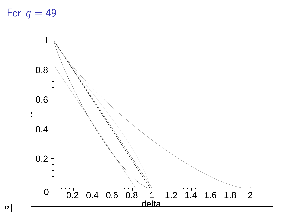For  $q = 49$ 

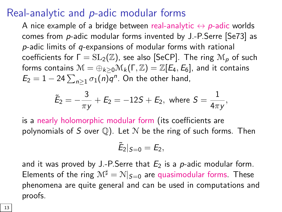#### Real-analytic and p-adic modular forms

A nice example of a bridge between real-analytic  $\leftrightarrow p$ -adic worlds comes from p-adic modular forms invented by J.-P.Serre [\[Se73\]](#page-42-0) as p-adic limits of q-expansions of modular forms with rational coefficients for  $\Gamma = SL_2(\mathbb{Z})$ , see also [\[SeCP\]](#page-42-1). The ring  $\mathcal{M}_p$  of such forms contains  $\mathcal{M} = \bigoplus_{k>0} \mathcal{M}_k(\Gamma, \mathbb{Z}) = \mathbb{Z}[E_4, E_6]$ , and it contains  $E_2 = 1 - 24 \sum_{n \geq 1} \sigma_1(n) q^n$ . On the other hand,

$$
\tilde{E}_2=-\frac{3}{\pi y}+E_2=-12S+E_2, \text{ where } S=\frac{1}{4\pi y},
$$

is a nearly holomorphic modular form (its coefficients are polynomials of S over  $\mathbb{Q}$ ). Let N be the ring of such forms. Then

$$
\tilde{E}_2|_{S=0}=E_2,
$$

and it was proved by J.-P. Serre that  $E_2$  is a p-adic modular form. Elements of the ring  $M^{\sharp} = N|_{S=0}$  are quasimodular forms. These phenomena are quite general and can be used in computations and proofs.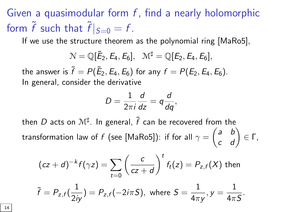Given a quasimodular form  $f$ , find a nearly holomorphic form  $\tilde{f}$  such that  $\tilde{f}|_{S=0} = f$ .

If we use the structure theorem as the polynomial ring [\[MaRo5\]](#page-40-0),

$$
\mathcal{N}=\mathbb{Q}[\tilde{E}_2,E_4,E_6],\ \mathcal{M}^\sharp=\mathbb{Q}[E_2,E_4,E_6],
$$

the answer is  $\widetilde{f}=P(\tilde{E}_2,E_4,E_6)$  for any  $f=P(E_2,E_4,E_6).$ In general, consider the derivative

$$
D=\frac{1}{2\pi i}\frac{d}{dz}=q\frac{d}{dq},
$$

then  $D$  acts on  $\mathcal{M}^{\sharp}$ . In general,  $\tilde{f}$  can be recovered from the transformation law of  $f$  (see [\[MaRo5\]](#page-40-0)): if for all  $\gamma=\begin{pmatrix} a & b \ c & d \end{pmatrix}\in\mathsf{\Gamma},$ 

$$
(cz + d)^{-k} f(\gamma z) = \sum_{t=0}^{\infty} \left(\frac{c}{cz + d}\right)^t f_t(z) = P_{z,f}(X) \text{ then}
$$
  

$$
\tilde{f} = P_{z,f}(\frac{1}{2\pi}) = P_{z,f}(-2i\pi S), \text{ where } S = \frac{1}{4\pi i}, y = \frac{1}{4\pi S}.
$$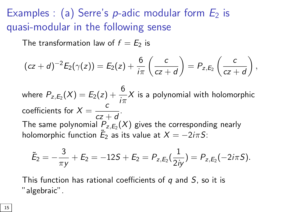Examples : (a) Serre's *p*-adic modular form  $E_2$  is quasi-modular in the following sense

The transformation law of  $f = E_2$  is

$$
(cz+d)^{-2}E_2(\gamma(z)) = E_2(z) + \frac{6}{i\pi} \left( \frac{c}{cz+d} \right) = P_{z,E_2} \left( \frac{c}{cz+d} \right),
$$

where  $P_{z, E_2}(X) = E_2(z) + \dfrac{6}{i\pi}X$  is a polynomial with holomorphic coefficients for  $X = \frac{c}{\sqrt{2\pi}}$  $\frac{c}{cz+d}$ . The same polynomial  $P_{z, E_2}(X)$  gives the corresponding nearly holomorphic function  $\tilde E_2$  as its value at  $X=-2i\pi S$ :

$$
\tilde{E}_2=-\frac{3}{\pi y}+E_2=-12S+E_2=P_{z,E_2}(\frac{1}{2iy})=P_{z,E_2}(-2i\pi S).
$$

This function has rational coefficients of  $q$  and  $S$ , so it is "algebraic".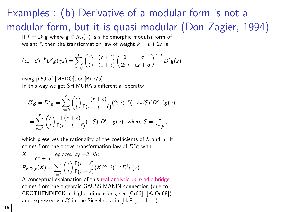# Examples : (b[\) Deriv](#page-43-2)ati[ve of a](#page-39-0) modular form is not a modular form, but it is quasi-modular (Don Zagier, 1994)

If  $f = D^r g$  where  $g \in \mathcal{M}_l(\Gamma)$  is a holomorphic modular form of weight  $\ell$ , then the transformation law of weight  $k = \ell + 2r$  is

$$
(cz+d)^{-k}D^{r}g(\gamma z) = \sum_{t=0}^{r} {r \choose t} \frac{\Gamma(r+\ell)}{\Gamma(t+\ell)} \left(\frac{1}{2\pi i} \cdot \frac{c}{cz+d}\right)^{r-t} D^{t}g(z)
$$

using p.59 of [MFDO], or [Kuz75]. In this way we get SHIMURA's differential operator

$$
\delta_{\ell}^{r}g = \widetilde{D^{r}}g = \sum_{t=0}^{r} {r \choose t} \frac{\Gamma(r+\ell)}{\Gamma(r-t+\ell)} (2\pi i)^{-t} (-2\pi iS)^{t} D^{r-t} g(z)
$$

$$
= \sum_{t=0}^{r} {r \choose t} \frac{\Gamma(r+\ell)}{\Gamma(r-t+\ell)} (-S)^{t} D^{r-t} g(z), \text{ where } S = \frac{1}{4\pi y},
$$

which preserves the rationality of the coefficients of  $S$  and  $q$ . It comes from the above transformation law of  $D^r g$  with

$$
X = \frac{c}{cz+d}
$$
 replaced by  $-2\pi iS$ :  
\n
$$
P_{z,D'g}(X) = \sum_{t=0}^{C} {r \choose t} \frac{\Gamma(r+\ell)}{\Gamma(t+\ell)} (X/2\pi i)^{r-t} D^t g(z).
$$

A conceptual explanation of this real-analytic  $\leftrightarrow$  p-adic bridge comes from the algebraic GAUSS-MANIN connection (due to GROTHENDIECK in higher dimensions, see [Gr66], [KaOd68])[,](#page-38-0) and expressed via  $\delta_{\ell}^{r}$  in the Siegel case in [Ha81], p.111 ).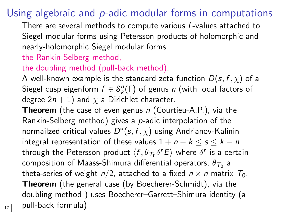# Using algebraic and *p*-adic modular forms in computations

There are several methods to compute various L-values attached to Siegel modular forms using Petersson products of holomorphic and nearly-holomorphic Siegel modular forms :

#### the Rankin-Selberg method,

#### the doubling method (pull-back method).

A well-known example is the standard zeta function  $D(s, f, \chi)$  of a Siegel cusp eigenform  $f \in \mathcal{S}_k^n(\Gamma)$  of genus n (with local factors of degree  $2n + 1$ ) and  $\chi$  a Dirichlet character.

**Theorem** (the case of even genus  $n$  (Courtieu-A.P.), via the Rankin-Selberg method) gives a p-adic interpolation of the normailzed critical values  $D^*(s, f, \chi)$  using Andrianov-Kalinin integral representation of these values  $1 + n - k \leq s \leq k - n$ through the Petersson product  $\langle f, \theta_{\mathcal{T}_0} \delta^r E \rangle$  where  $\delta^r$  is a certain composition of Maass-Shimura differential operators,  $\theta_{\mathcal{T}_0}$  a theta-series of weight  $n/2$ , attached to a fixed  $n \times n$  matrix  $T_0$ . Theorem (the general case (by Boecherer-Schmidt), via the doubling method ) uses Boecherer–Garrett–Shimura identity (a  $\overline{17}$  pull-back formula)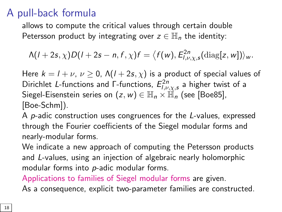# A pull-back formula

allows to compute the critical values through certain double Petersson product by integrating over  $z \in \mathbb{H}_n$  the identity:

$$
\Lambda(I+2s,\chi)D(I+2s-n,f,\chi)f=\big\langle f(w),E_{I,\nu,\chi,s}^{2n}(\text{diag}[z,w])\big\rangle_w.
$$

Here  $k = l + v$ ,  $v \ge 0$ ,  $\Lambda(l + 2s, \chi)$  is a product of special values of Dirichlet L-functions and Γ-functions,  $E_{l,\nu,\chi,s}^{2n}$  a higher twist of a Siegel-Eisensteinseries on  $(z, w) \in \mathbb{H}_n \times \mathbb{H}_n$  (see [[Boe85\],](#page-36-0) [\[Boe-Schm\]](#page-37-0)).

A p-adic construction uses congruences for the L-values, expressed through the Fourier coefficients of the Siegel modular forms and nearly-modular forms.

We indicate a new approach of computing the Petersson products and L-values, using an injection of algebraic nearly holomorphic modular forms into p-adic modular forms.

Applications to families of Siegel modular forms are given.

As a consequence, explicit two-parameter families are constructed.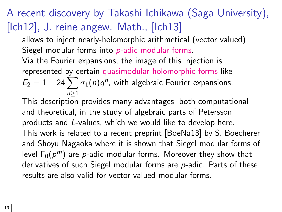# A recent discovery by Takashi Ichikawa (Saga University), [\[Ich12\]](#page-38-1), J. reine angew. Math., [\[Ich13\]](#page-38-2)

allows to inject nearly-holomorphic arithmetical (vector valued) Siegel modular forms into p-adic modular forms.

Via the Fourier expansions, the image of this injection is represented by certain quasimodular holomorphic forms like  $E_2 = 1 - 24 \sum \sigma_1(n) q^n$ , with algebraic Fourier expansions. n≥1

This description provides many advantages, both computational and theoretical, in the study of algebraic parts of Petersson products and L-values, which we would like to develop here. This work is related to a recent preprint [\[BoeNa13\]](#page-36-1) by S. Boecherer and Shoyu Nagaoka where it is shown that Siegel modular forms of level  $\Gamma_0(p^m)$  are  $p$ -adic modular forms. Moreover they show that derivatives of such Siegel modular forms are p-adic. Parts of these results are also valid for vector-valued modular forms.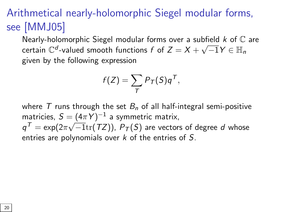# Arithmetical nearly-holomorphic Siegel modular forms, see [\[MMJ05\]](#page-41-0)

Nearly-holomorphic Siegel modular forms over a subfield  $k$  of  $\mathbb C$  are certain  $\mathbb{C}^d$ -valued smooth functions  $f$  of  $Z=X+$  $\sqrt{-1}Y \in \mathbb{H}_n$ given by the following expression

$$
f(Z) = \sum_T P_T(S)q^T,
$$

where T runs through the set  $B_n$  of all half-integral semi-positive matricies,  $S = (4\pi Y)^{-1}$  a symmetric matrix,  $\mathbb{q}^{\mathcal{T}} = \exp (2\pi \sqrt{-1}\mathrm{tr}(\mathcal{T} Z))$ ,  $\mathsf{P}_{\mathcal{T}}(S)$  are vectors of degree  $d$  whose entries are polynomials over  $k$  of the entries of  $S$ .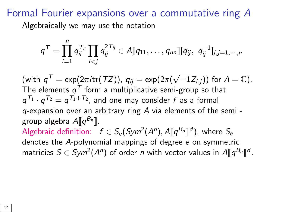#### Formal Fourier expansions over a commutative ring A

Algebraically we may use the notation

$$
q^{\mathcal{T}} = \prod_{i=1}^n q_{ii}^{\mathcal{T}_{ii}} \prod_{i < j} q_{ij}^{2\mathcal{T}_{ij}} \in A[\![q_{11}, \ldots, q_{nn}]\!][q_{ij}, q_{ij}^{-1}]_{i,j=1,\cdots,n}
$$

(with  $q^{\mathcal{T}} = \exp(2\pi i \text{tr}(\mathcal{T} Z))$ ,  $q_{ij} = \exp(2\pi (\sqrt{-1} Z_{i,j}))$  for  $A = \mathbb{C}$ ). The elements  $\pmb{q}^{\pmb{T}}$  form a multiplicative semi-group so that  $q^{ {\cal T}_1} \cdot q^{ {\cal T}_2} = q^{ {\cal T}_1 + {\cal T}_2}$ , and one may consider  $f$  as a formal q-expansion over an arbitrary ring A via elements of the semi group algebra  $A\llbracket q^{B_n} \rrbracket.$ Algebraic definition:  $f \in S_e(Sym^2(A^n), A\llbracket q^{B_n} \rrbracket^d)$ , where  $S_e$ denotes the A-polynomial mappings of degree e on symmetric matricies  $S\in Sym^2(A^n)$  of order n with vector values in  $A\llbracket q^{B_n}\rrbracket^d$ .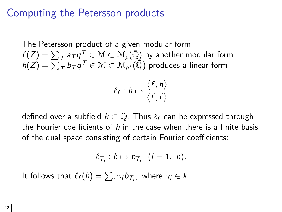#### Computing the Petersson products

The Petersson product of a given modular form  $f(Z)=\sum_{T}\mathsf{a}_T\mathsf{q}^{\textsf{T}}_{|-\tau}\in\mathcal{M}\subset\mathcal{M}_\rho(\bar{\mathbb{Q}})$  by another modular form  $h(Z)=\sum_{\mathcal{T}} b_{\mathcal{T}} q^{\mathcal{T}} \in \mathcal{M} \subset \mathcal{M}_{\rho^*}(\bar{\mathbb{Q}})$  produces a linear form

$$
\ell_f: h \mapsto \frac{\langle f, h \rangle}{\langle f, f \rangle}
$$

defined over a subfield  $k \subset \overline{Q}$ . Thus  $\ell_f$  can be expressed through the Fourier coefficients of h in the case when there is a finite basis of the dual space consisting of certain Fourier coefficients:

$$
\ell_{\mathcal{T}_i}: h \mapsto b_{\mathcal{T}_i} \ \ (i=1, \ n).
$$

It follows that  $\ell_f (h) = \sum_i \gamma_i b_{\mathcal{T}_i},$  where  $\gamma_i \in k.$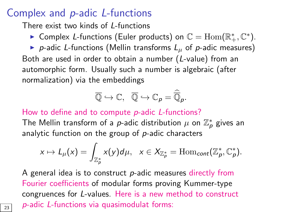#### Complex and p-adic L-functions

There exist two kinds of L-functions

► Complex L-functions (Euler products) on  $\mathbb{C} = \mathrm{Hom}(\mathbb{R}^*_+, \mathbb{C}^*)$ .

p-adic L-functions (Mellin transforms  $L_{\mu}$  of p-adic measures) Both are used in order to obtain a number (L-value) from an automorphic form. Usually such a number is algebraic (after normalization) via the embeddings

$$
\overline{\mathbb{Q}} \hookrightarrow \mathbb{C}, \ \ \overline{\mathbb{Q}} \hookrightarrow \mathbb{C}_{p} = \widehat{\overline{\mathbb{Q}}}_{p}.
$$

How to define and to compute p-adic L-functions?

The Mellin transform of a  $p$ -adic distribution  $\mu$  on  $\mathbb{Z}_p^*$  gives an analytic function on the group of p-adic characters

$$
x\mapsto L_{\mu}(x)=\int_{\mathbb{Z}_p^*}x(y)d\mu,\ \ x\in X_{\mathbb{Z}_p^*}=\mathrm{Hom}_{cont}(\mathbb{Z}_p^*,\mathbb{C}_p^*).
$$

A general idea is to construct  $p$ -adic measures directly from Fourier coefficients of modular forms proving Kummer-type congruences for L-values. Here is a new method to construct  $\overline{p}$  p-adic L-functions via quasimodulat forms: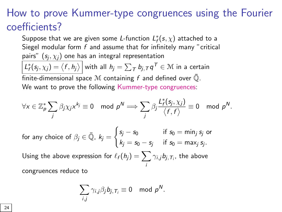# How to prove Kummer-type congruences using the Fourier coefficients?

Suppose that we are given some *L*-function  $L_f^*(s,\chi)$  attached to a Siegel modular form  $f$  and assume that for infinitely many "critical pairs"  $(s_i, \chi_i)$  one has an integral representation  $\mathcal{L}_f^*(s_j,\chi_j)=\big\langle f,h_j\big\rangle\,\Big|$  with all  $h_j=\sum_{\mathcal{T}}b_{j,\mathcal{T}}q^{\mathcal{T}}\in\mathcal{M}$  in a certain finite-dimensional space M containing f and defined over  $\bar{\mathbb{Q}}$ .

We want to prove the following Kummer-type congruences:

$$
\forall x \in \mathbb{Z}_p^* \sum_j \beta_j \chi_j x^{k_j} \equiv 0 \mod p^N \Longrightarrow \sum_j \beta_j \frac{L_f^*(s_j, \chi_j)}{\langle f, f \rangle} \equiv 0 \mod p^N.
$$

for any choice of 
$$
\beta_j \in \overline{\mathbb{Q}}
$$
,  $k_j = \begin{cases} s_j - s_0 & \text{if } s_0 = \min_j s_j \text{ or} \\ k_j = s_0 - s_j & \text{if } s_0 = \max_j s_j. \end{cases}$ 

Using the above expression for  $\ell_f (h_j) = \sum \ell_i$ i  $\gamma_{i,j} b_{j, T_i}$ , the above congruences reduce to

$$
\sum_{i,j} \gamma_{i,j} \beta_j b_{j,T_i} \equiv 0 \mod p^N.
$$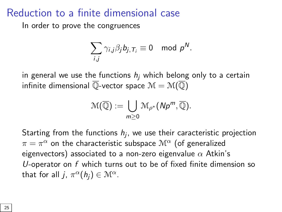#### Reduction to a finite dimensional case

In order to prove the congruences

$$
\sum_{i,j} \gamma_{i,j} \beta_j b_{j,T_i} \equiv 0 \mod p^N.
$$

in general we use the functions  $h_i$  which belong only to a certain infinite dimensional  $\overline{\mathbb{Q}}$ -vector space  $\mathcal{M} = \mathcal{M}(\overline{\mathbb{Q}})$ 

$$
\mathcal{M}(\overline{\mathbb{Q}}) := \bigcup_{m \geq 0} \mathcal{M}_{\rho^*}(Np^m, \overline{\mathbb{Q}}).
$$

Starting from the functions  $h_j$ , we use their caracteristic projection  $\pi=\pi^{\alpha}$  on the characteristic subspace  $\mathcal{M}^{\alpha}$  (of generalized eigenvectors) associated to a non-zero eigenvalue  $\alpha$  Atkin's U-operator on  $f$  which turns out to be of fixed finite dimension so that for all j,  $\pi^{\alpha}(h_j) \in \mathcal{M}^{\alpha}$ .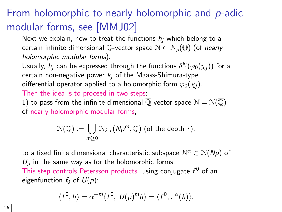# From holomorphic to nearly holomorphic and p-adic modular forms, see [\[MMJ02\]](#page-41-1)

Next we explain, how to treat the functions  $h_i$  which belong to a certain infinite dimensional  $\overline{\mathbb{Q}}$ -vector space  $\mathcal{N} \subset \mathcal{N}_o(\overline{\mathbb{Q}})$  (of nearly holomorphic modular forms).

Usually,  $h_j$  can be expressed through the functions  $\delta^{k_j}(\varphi_0(\chi_j))$  for a certain non-negative power  $k_i$  of the Maass-Shimura-type differential operator applied to a holomorphic form  $\varphi_0(\chi_i)$ .

Then the idea is to proceed in two steps:

1) to pass from the infinite dimensional  $\overline{\mathbb{O}}$ -vector space  $\mathcal{N} = \mathcal{N}(\overline{\mathbb{O}})$ of nearly holomorphic modular forms,

$$
\mathcal{N}(\overline{\mathbb{Q}}) := \bigcup_{m \geq 0} \mathcal{N}_{k,r}(Np^m, \overline{\mathbb{Q}}) \text{ (of the depth } r).
$$

to a fixed finite dimensional characteristic subspace  $\mathcal{N}^{\alpha} \subset \mathcal{N}(N_p)$  of  $U_p$  in the same way as for the holomorphic forms. This step controls Petersson products using conjugate  $f^0$  of an eigenfunction  $f_0$  of  $U(p)$ :

$$
\langle f^0,h\rangle=\alpha^{-m}\langle f^0,|U(p)^mh\rangle=\langle f^0,\pi^{\alpha}(h)\rangle.
$$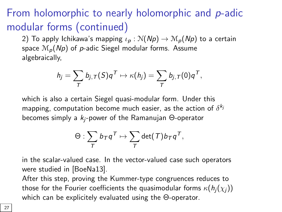# From holomorphic to nearly holomorphic and p-adic modular forms (continued)

2) To apply Ichikawa's mapping  $\iota_p : \mathcal{N}(N_p) \to \mathcal{M}_p(N_p)$  to a certain space  $\mathcal{M}_p(Np)$  of p-adic Siegel modular forms. Assume algebraically,

$$
h_j = \sum_T b_{j,T}(S)q^T \mapsto \kappa(h_j) = \sum_T b_{j,T}(0)q^T,
$$

which is also a certain Siegel quasi-modular form. Under this mapping, computation become much easier, as the action of  $\delta^{k_j}$ becomes simply a  $k_i$ -power of the Ramanujan  $\Theta$ -operator

$$
\Theta:\sum_{\mathcal{T}}b_{\mathcal{T}}q^{\mathcal{T}}\mapsto \sum_{\mathcal{T}}\det(\mathcal{T})b_{\mathcal{T}}q^{\mathcal{T}},
$$

in the scalar-value[d case. In t](#page-36-1)he vector-valued case such operators were studied in [BoeNa13].

After this step, proving the Kummer-type congruences reduces to those for the Fourier coefficients the quasimodular forms  $\kappa(h_i(\chi_i))$ which can be explicitely evaluated using the Θ-operator.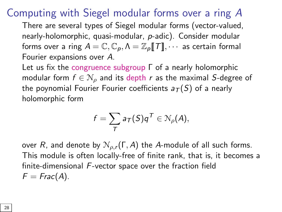#### Computing with Siegel modular forms over a ring A

There are several types of Siegel modular forms (vector-valued, nearly-holomorphic, quasi-modular, p-adic). Consider modular forms over a ring  $A = \mathbb{C}, \mathbb{C}_p, \Lambda = \mathbb{Z}_p[[T]], \cdots$  as certain formal Fourier expansions over A.

Let us fix the congruence subgroup Γ of a nearly holomorphic modular form  $f \in \mathcal{N}_\rho$  and its depth r as the maximal S-degree of the poynomial Fourier Fourier coefficients  $a_T(S)$  of a nearly holomorphic form

$$
f=\sum_{T}a_{T}(S)q^{T}\in\mathcal{N}_{\rho}(A),
$$

over R, and denote by  $\mathcal{N}_{\rho,r}(\Gamma,A)$  the A-module of all such forms. This module is often locally-free of finite rank, that is, it becomes a finite-dimensional F-vector space over the fraction field  $F = Frac(A)$ .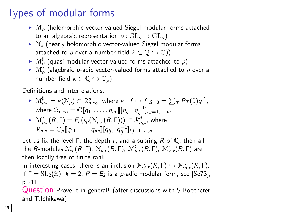# Types of modular forms

- $\blacktriangleright$   $\mathcal{M}_o$  (holomorphic vector-valued Siegel modular forms attached to an algebraic representation  $\rho : GL_n \to GL_d$ )
- $\triangleright$   $\mathcal{N}_{\rho}$  (nearly holomorphic vector-valued Siegel modular forms attached to  $\rho$  over a number field  $k \subset \bar{\mathbb{Q}} \hookrightarrow \mathbb{C}$ ))
- $\blacktriangleright$   $\mathcal{M}_{\rho}^{\sharp}$  (quasi-modular vector-valued forms attached to  $\rho$ )
- $\blacktriangleright \mathcal{M}_\rho^\flat$  (algebraic  $p$ -adic vector-valued forms attached to  $\rho$  over a number field  $k \subset \bar{Q} \hookrightarrow \mathbb{C}_n$

Definitions and interrelations:

 $\blacktriangleright \mathcal{M}_{\rho,r}^{\sharp} = \kappa(\mathcal{N}_{\rho}) \subset \mathcal{R}_{n,\infty}^{d}, \text{ where } \kappa: f \mapsto f|_{S=0} = \sum_{T} P_{T}(0) q^{T},$ where  $\mathcal{R}_{n,\infty} = \mathbb{C}[\![q_{11},\ldots,q_{nn}]\!][q_{ij},\; q_{ij}^{-1}]_{i,j=1,\cdots,n}.$ 

$$
\sum_{p} \mathcal{M}_{\rho,r}^{\flat}(R,\Gamma) = F_c(\iota_p(\mathcal{N}_{\rho,r}(R,\Gamma))) \subset \mathcal{R}_{n,p}^d, \text{ where}
$$
  

$$
\mathcal{R}_{n,p} = \mathbb{C}_p[\![q_{11},\ldots,q_{nn}]\!][q_{ij}, q_{ij}^{-1}]_{i,j=1,\cdots,n}.
$$

Let us fix the level  $\Gamma$ , the depth r, and a subring R of  $\overline{Q}$ , then all the  $R$ -modules  $\mathcal{M}_\rho(R,\Gamma)$ ,  $\mathcal{N}_{\rho,r}(R,\Gamma)$ ,  $\mathcal{M}_{\rho,r}^\sharp(R,\Gamma)$ ,  $\mathcal{M}_{\rho,r}^\flat(R,\Gamma)$  are then locally free of finite rank.

In interesting cases, there is an inclusion  $\mathcal{M}^\sharp_{\rho,r}(R,\Gamma) \hookrightarrow \mathcal{M}^\flat_{\rho,r}(R,\Gamma).$ If  $\Gamma = SL_2(\mathbb{Z})$ ,  $k = 2$ ,  $P = E_2$  is a *p*-adic modular form, see [Se73], p.211.

Question:Prove it in general! (after discussions with S.Boecherer and T.Ichikawa)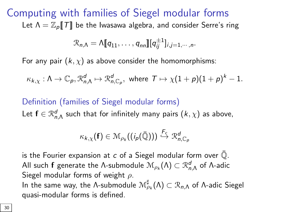Computing with families of Siegel modular forms Let  $\Lambda = \mathbb{Z}_{p}[[T]]$  be the Iwasawa algebra, and consider Serre's ring

$$
\mathcal{R}_{n,\Lambda} = \Lambda[\![q_{11},\ldots,q_{nn}]\!][q_{ij}^{\pm 1}]_{i,j=1,\cdots,n}.
$$

For any pair  $(k, \chi)$  as above consider the homomorphisms:

$$
\kappa_{k,\chi}:\Lambda\to\mathbb{C}_p, \mathfrak{R}_{n,\Lambda}^d\mapsto\mathfrak{R}_{n,\mathbb{C}_p}^d,\,\,\text{where}\,\,\, \mathcal{T}\mapsto \chi(1+p)(1+p)^k-1.
$$

Definition (families of Siegel modular forms) Let  $\mathbf{f}\in\mathfrak{R}_{n,\Lambda}^{d}$  such that for infinitely many pairs  $(k,\chi)$  as above,

$$
\kappa_{k,\chi}(\mathbf{f})\in \mathfrak{M}_{\rho_{k}}((\mathbf{i}_{p}(\bar{\mathbb{Q}})))\stackrel{F_{c}}{\hookrightarrow}\mathfrak{R}_{n,\mathbb{C}_{p}}^{d}
$$

is the Fourier expansion at  $c$  of a Siegel modular form over  $\overline{Q}$ . All such  ${\sf f}$  generate the Λ-submodule  ${\mathcal M}_{\rho_k}(\Lambda)\subset {\mathcal R}_{n,\Lambda}^d$  of Λ-adic Siegel modular forms of weight  $\rho$ . In the same way, the Λ-submodule  $\mathcal{M}^\sharp_{\rho_k}(\Lambda)\subset \mathcal{R}_{n,\Lambda}$  of Λ-adic Siegel quasi-modular forms is defined.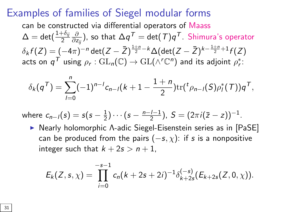#### Examples of families of Siegel modular forms

can be constructed via differential operators of Maass  $\Delta=\det(\frac{1+\delta_{ij}}{2}\frac{\partial}{\partial z_{ij}})$ , so that  $\Delta q^{\mathcal{T}}=\det(\mathcal{T})q^{\mathcal{T}}$ . Shimura's operator  $\delta_k f(Z)=(-4\pi)^{-n}\det(Z-\bar{Z})^{\frac{1+n}{2}-k}\Delta(\det(Z-\bar{Z})^{k-\frac{1+n}{2}+1}f(Z)$ acts on  $\mathsf{q}^{\mathcal{T}}$  using  $\rho_{\mathsf{r}}: \mathrm{GL}_{\mathsf{n}}(\mathbb{C}) \rightarrow \mathrm{GL}(\wedge^{\mathsf{r}} \mathbb{C}^{\mathsf{n}})$  and its adjoint  $\rho_{\mathsf{r}}^*$ :

$$
\delta_k(q^{\mathsf{T}})=\sum_{l=0}^n (-1)^{n-l} c_{n-l}(k+1-\frac{1+n}{2}) \text{tr}({}^t \rho_{n-l}(S) \rho_l^*(\mathsf{T})) q^{\mathsf{T}},
$$

where  $c_{n-1}(s) = s(s-\frac{1}{2}) \cdots (s-\frac{n-l-1}{2}), S = (2\pi i(\bar{z}-z))^{-1}.$ 

**-**Nearly holomorphic A-adic Siegel-Eisenstein series as in [[PaSE\]](#page-41-2) can be produced from the pairs  $(-s, \chi)$ : if s is a nonpositive integer such that  $k + 2s > n + 1$ ,

$$
E_k(Z,s,\chi)=\prod_{i=0}^{-s-1}c_n(k+2s+2i)^{-1}\delta^{(-s)}_{k+2s}(E_{k+2s}(Z,0,\chi)).
$$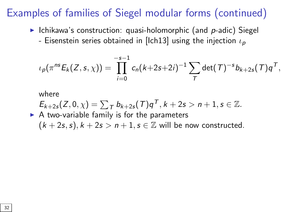# Examples of families of Siegel modular forms (continued)

- $\triangleright$  Ichikawa's construction: quasi-holomorphic (and p-adic) Siegel
	- -Eisenstein series obtained in [[Ich13\]](#page-38-2) using the injection  $\iota_{\boldsymbol{p}}$

$$
\iota_p(\pi^{ns}E_k(Z,s,\chi)) = \prod_{i=0}^{-s-1} c_n(k+2s+2i)^{-1} \sum_T \det(T)^{-s} b_{k+2s}(T) q^T,
$$

where

$$
E_{k+2s}(Z,0,\chi) = \sum_{T} b_{k+2s}(T)q^{T}, k+2s > n+1, s \in \mathbb{Z}.
$$
  
\nA two-variable family is for the parameters  
\n $(k+2s,s), k+2s > n+1, s \in \mathbb{Z}$  will be now constructed.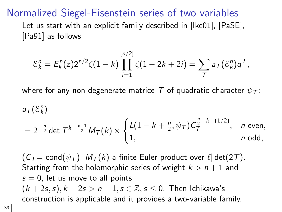Normalized Siegel-Eisenstein series of two variables

Let us start with an explicit family described in[[Ike01\],](#page-38-3)[[PaSE\],](#page-41-2) [\[Pa91\]](#page-40-1) as follows

$$
\mathcal{E}_k^n = E_k^n(z) 2^{n/2} \zeta(1-k) \prod_{i=1}^{[n/2]} \zeta(1-2k+2i) = \sum_{\tau} a_{\tau} (\mathcal{E}_k^n) q^{\tau},
$$

where for any non-degenerate matrice T of quadratic character  $\psi_{\tau}$ :

$$
a_{\mathcal{T}}(\mathcal{E}_k^n)
$$
  
=  $2^{-\frac{n}{2}} \det \mathcal{T}^{k-\frac{n+1}{2}} M_{\mathcal{T}}(k) \times \begin{cases} L(1 - k + \frac{n}{2}, \psi_{\mathcal{T}}) C_{\mathcal{T}}^{\frac{n}{2} - k + (1/2)}, & n \text{ even,} \\ 1, & n \text{ odd,} \end{cases}$ 

 $(C_T = \text{cond}(\psi_T)$ ,  $M_T(k)$  a finite Euler product over  $\ell | \det(2T)$ . Starting from the holomorphic series of weight  $k > n + 1$  and  $s = 0$ , let us move to all points  $(k+2s,s), k+2s > n+1, s \in \mathbb{Z}, s \leq 0$ . Then Ichikawa's construction is applicable and it provides a two-variable family.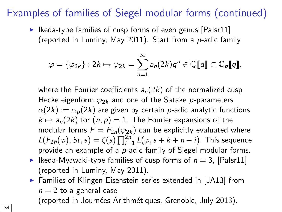# Examples of families of Siegel modular forms [\(conti](#page-41-3)nued)

 $\triangleright$  Ikeda-type families of cusp forms of even genus [PaIsr11] (reported in Luminy, May 2011). Start from a  $p$ -adic family

$$
\varphi = \{\varphi_{2k}\} : 2k \mapsto \varphi_{2k} = \sum_{n=1}^{\infty} a_n(2k)q^n \in \overline{\mathbb{Q}}[\![q]\!] \subset \mathbb{C}_p[\![q]\!],
$$

where the Fourier coefficients  $a_n(2k)$  of the normalized cusp Hecke eigenform  $\varphi_{2k}$  and one of the Satake p-parameters  $\alpha(2k) := \alpha_p(2k)$  are given by certain p-adic analytic functions  $k \mapsto a_n(2k)$  for  $(n, p) = 1$ . The Fourier expansions of the modular forms  $F = F_{2n}(\varphi_{2k})$  can be explicitly evaluated where  $L(F_{2n}(\varphi), St, s) = \zeta(s) \prod_{i=1}^{2n} L(\varphi, s + k + n - i)$ . This sequence provide an example of a p-adic family of Siegel modular forms.

- I Ikeda-Myawaki-type families of cusp forms of  $n = 3$ , [Pa[Isr11\]](#page-41-3) (reported in Luminy, May 2011).
- ▶ Families of Klingen-Eisenstein series extended in [J[A13\] fro](#page-42-2)m  $n = 2$  to a general case (reported in Journées Arithmétiques, Grenoble, July 2013).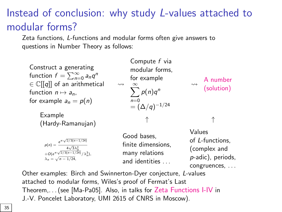# Instead of conclusion: why study L-values attached to modular forms?

Zeta functions, L-functions and modular forms often give answers to questions in Number Theory as follows:

Construct a generating function  $f = \sum_{n=0}^{\infty} a_n q^n$  $\in \mathbb{C}[[q]]$  of an arithmetical function  $n \mapsto a_n$ , for example  $a_n = p(n)$  $\rightsquigarrow$ Compute f via modular forms, for example  $\sum_{i=1}^{\infty}$  $n=0$  $p(n)q^n$  $= (\Delta/q)^{-1/24}$  $\rightsquigarrow$ A number (solution) Example (Hardy-Ramanujan) ↑ ↑  $p(n) = \frac{e^{\pi \sqrt{2/3(n-1/24)}}}{\sqrt{2}}$  $p(n) = \frac{4\sqrt{3}\lambda_n^2}{\sqrt{2/3(n-1/24)}/\lambda_n^3},$  $\lambda_n =$  $\sqrt{ }$  $n - 1/24$ , Good bases, finite dimensions, many relations and identities Values of L-functions, (complex and p-adic), periods, congruences, . . .

Other examples: Birch and Swinnerton-Dyer conjecture, L-values attached to modularf[orms, Wiles's](#page-40-2) proof of Fermat's Last Theorem,. . . (see [Ma-Pa05]. Also, in talks for Zeta Functions I-IV in J.-V. Poncelet Laboratory, UMI 2615 of CNRS in Moscow).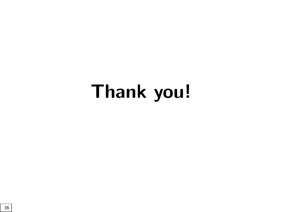# Thank you!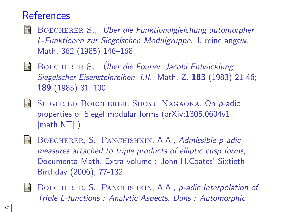#### **References**

- <span id="page-36-0"></span>BOECHERER S., Über die Funktionalgleichung automorpher 歸 L-Funktionen zur Siegelschen Modulgruppe. J. reine angew. Math. 362 (1985) 146–168
- BOECHERER S., Über die Fourier-Jacobi Entwicklung Siegelscher Eisensteinreihen. I.II., Math. Z. 183 (1983) 21-46; 189 (1985) 81–100.
- <span id="page-36-1"></span>SIEGFRIED BOECHERER, SHOYU NAGAOKA, On p-adic 譶 properties of Siegel modular forms (arXiv:1305.0604v1 [math.NT] )
- BOECHERER, S., PANCHISHKIN, A.A., Admissible p-adic measures attached to triple products of elliptic cusp forms, Documenta Math. Extra volume : John H.Coates' Sixtieth Birthday (2006), 77-132.
- BOECHERER, S., PANCHISHKIN, A.A., *p-adic Interpolation of* Triple L-functions : Analytic Aspects. Dans : Automorphic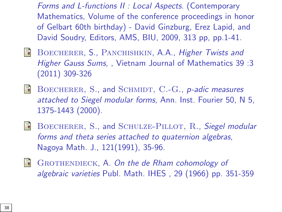Forms and L-functions II : Local Aspects. (Contemporary Mathematics, Volume of the conference proceedings in honor of Gelbart 60th birthday) - David Ginzburg, Erez Lapid, and David Soudry, Editors, AMS, BIU, 2009, 313 pp, pp.1-41.

- S. BOECHERER, S., PANCHISHKIN, A.A., Higher Twists and Higher Gauss Sums, , Vietnam Journal of Mathematics 39 :3 (2011) 309-326
- <span id="page-37-0"></span> $\blacksquare$  BOECHERER, S., and SCHMIDT, C.-G., p-adic measures attached to Siegel modular forms, Ann. Inst. Fourier 50, N 5, 1375-1443 (2000).
- S. BOECHERER, S., and SCHULZE-PILLOT, R., Siegel modular forms and theta series attached to quaternion algebras, Nagoya Math. J., 121(1991), 35-96.
- 暈 GROTHENDIECK, A. On the de Rham cohomology of algebraic varieties Publ. Math. IHES , 29 (1966) pp. 351-359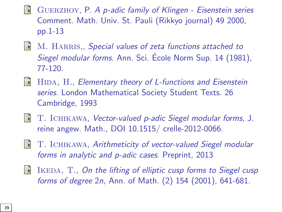- S. Guerzhoy, P. A p-adic family of Klingen - Eisenstein series Comment. Math. Univ. St. Pauli (Rikkyo journal) 49 2000, pp.1-13
- <span id="page-38-0"></span>M. HARRIS,, Special values of zeta functions attached to F. Siegel modular forms. Ann. Sci. École Norm Sup. 14 (1981), 77-120.
- S. HIDA, H., Elementary theory of L-functions and Eisenstein series. London Mathematical Society Student Texts. 26 Cambridge, 1993
- <span id="page-38-1"></span>**T.** ICHIKAWA, Vector-valued p-adic Siegel modular forms, J. reine angew. Math., DOI 10.1515/ crelle-2012-0066.
- <span id="page-38-2"></span>譶 T. Ichikawa, Arithmeticity of vector-valued Siegel modular forms in analytic and p-adic cases. Preprint, 2013
- <span id="page-38-3"></span>S. IKEDA, T., On the lifting of elliptic cusp forms to Siegel cusp forms of degree 2n, Ann. of Math. (2) 154 (2001), 641-681.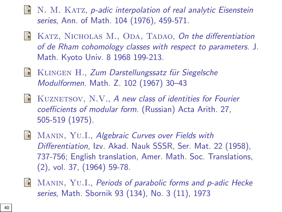- $\blacksquare$  N. M. KATZ, p-adic interpolation of real analytic Eisenstein series, Ann. of Math. 104 (1976), 459-571.
- KATZ, NICHOLAS M., ODA, TADAO, On the differentiation F. of de Rham cohomology classes with respect to parameters. J. Math. Kyoto Univ. 8 1968 199-213.
- KLINGEN H., Zum Darstellungssatz für Siegelsche Modulformen. Math. Z. 102 (1967) 30–43
- <span id="page-39-0"></span>KUZNETSOV, N.V., A new class of identities for Fourier S. coefficients of modular form. (Russian) Acta Arith. 27, 505-519 (1975).
- **MANIN, YU.I., Algebraic Curves over Fields with** Differentiation, Izv. Akad. Nauk SSSR, Ser. Mat. 22 (1958), 737-756; English translation, Amer. Math. Soc. Translations, (2), vol. 37, (1964) 59-78.
- 暈 Manin, Yu.I., Periods of parabolic forms and p-adic Hecke series, Math. Sbornik 93 (134), No. 3 (11), 1973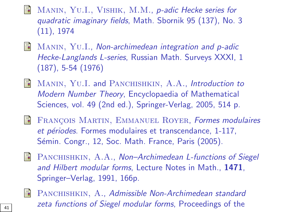MANIN, YU.I., VISHIK, M.M., p-adic Hecke series for quadratic imaginary fields, Math. Sbornik 95 (137), No. 3 (11), 1974

- MANIN, YU.I., Non-archimedean integration and p-adic 量 Hecke-Langlands L-series, Russian Math. Surveys XXXI, 1 (187), 5-54 (1976)
- <span id="page-40-2"></span>**MANIN, YU.I. and PANCHISHKIN, A.A., Introduction to** Modern Number Theory, Encyclopaedia of Mathematical Sciences, vol. 49 (2nd ed.), Springer-Verlag, 2005, 514 p.
- <span id="page-40-0"></span>S. FRANÇOIS MARTIN, EMMANUEL ROYER, Formes modulaires et périodes. Formes modulaires et transcendance, 1-117, Sémin. Congr., 12, Soc. Math. France, Paris (2005).
- <span id="page-40-1"></span>**PANCHISHKIN, A.A., Non–Archimedean L-functions of Siegel** and Hilbert modular forms, Lecture Notes in Math., 1471, Springer–Verlag, 1991, 166p.



PANCHISHKIN, A., Admissible Non-Archimedean standard  $\frac{1}{41}$  zeta functions of Siegel modular forms, Proceedings of the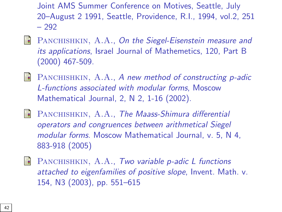Joint AMS Summer Conference on Motives, Seattle, July 20–August 2 1991, Seattle, Providence, R.I., 1994, vol.2, 251 – 292

- <span id="page-41-2"></span>PANCHISHKIN, A.A., On the Siegel-Eisenstein measure and E. its applications, Israel Journal of Mathemetics, 120, Part B (2000) 467-509.
- <span id="page-41-1"></span>暈 PANCHISHKIN, A.A., A new method of constructing p-adic L-functions associated with modular forms, Moscow Mathematical Journal, 2, N 2, 1-16 (2002).
- <span id="page-41-0"></span>S. PANCHISHKIN, A.A., The Maass-Shimura differential operators and congruences between arithmetical Siegel modular forms. Moscow Mathematical Journal, v. 5, N 4, 883-918 (2005)
- <span id="page-41-3"></span>量 PANCHISHKIN, A.A., Two variable p-adic L functions attached to eigenfamilies of positive slope, Invent. Math. v. 154, N3 (2003), pp. 551–615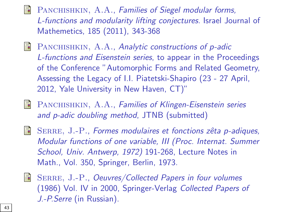- PANCHISHKIN, A.A., Families of Siegel modular forms, L-functions and modularity lifting conjectures. Israel Journal of Mathemetics, 185 (2011), 343-368
- F PANCHISHKIN, A.A., Analytic constructions of p-adic L-functions and Eisenstein series, to appear in the Proceedings of the Conference "Automorphic Forms and Related Geometry, Assessing the Legacy of I.I. Piatetski-Shapiro (23 - 27 April, 2012, Yale University in New Haven, CT)"
- <span id="page-42-2"></span> $\equiv$ PANCHISHKIN, A.A., Families of Klingen-Eisenstein series and p-adic doubling method, JTNB (submitted)
- <span id="page-42-0"></span>

 $\blacksquare$  SERRE, J.-P., Formes modulaires et fonctions zêta p-adiques, Modular functions of one variable, III (Proc. Internat. Summer School, Univ. Antwerp, 1972) 191-268, Lecture Notes in Math., Vol. 350, Springer, Berlin, 1973.

<span id="page-42-1"></span>

**SERRE, J.-P., Oeuvres/Collected Papers in four volumes** (1986) Vol. IV in 2000, Springer-Verlag Collected Papers of J.-P.Serre (in Russian).